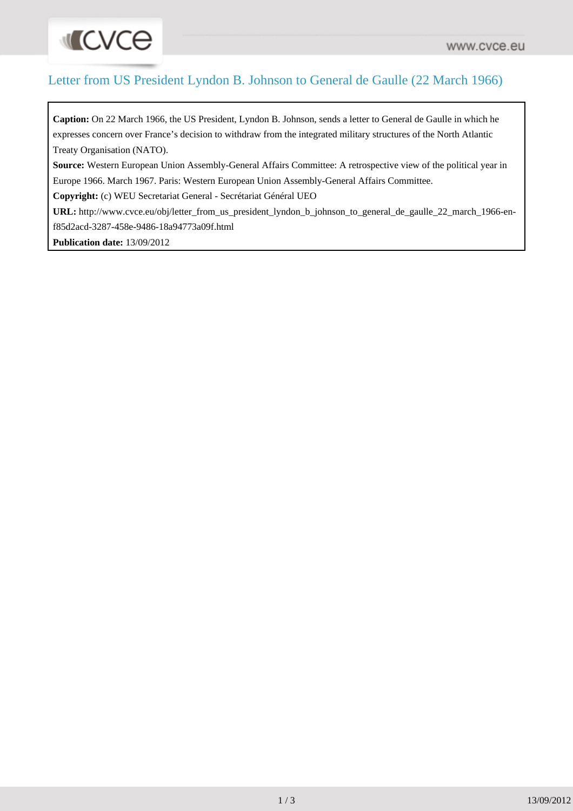## Letter from US President Lyndon B. Johnson to General de Gaulle (22 March 1966)

**Caption:** On 22 March 1966, the US President, Lyndon B. Johnson, sends a letter to General de Gaulle in which he expresses concern over France's decision to withdraw from the integrated military structures of the North Atlantic Treaty Organisation (NATO).

**Source:** Western European Union Assembly-General Affairs Committee: A retrospective view of the political year in Europe 1966. March 1967. Paris: Western European Union Assembly-General Affairs Committee.

**Copyright:** (c) WEU Secretariat General - Secrétariat Général UEO

**URL:** [http://www.cvce.eu/obj/letter\\_from\\_us\\_president\\_lyndon\\_b\\_johnson\\_to\\_general\\_de\\_gaulle\\_22\\_march\\_1966-en](http://www.cvce.eu/obj/letter_from_us_president_lyndon_b_johnson_to_general_de_gaulle_22_march_1966-en-f85d2acd-3287-458e-9486-18a94773a09f.html)[f85d2acd-3287-458e-9486-18a94773a09f.html](http://www.cvce.eu/obj/letter_from_us_president_lyndon_b_johnson_to_general_de_gaulle_22_march_1966-en-f85d2acd-3287-458e-9486-18a94773a09f.html)

**Publication date:** 13/09/2012

**INCACE**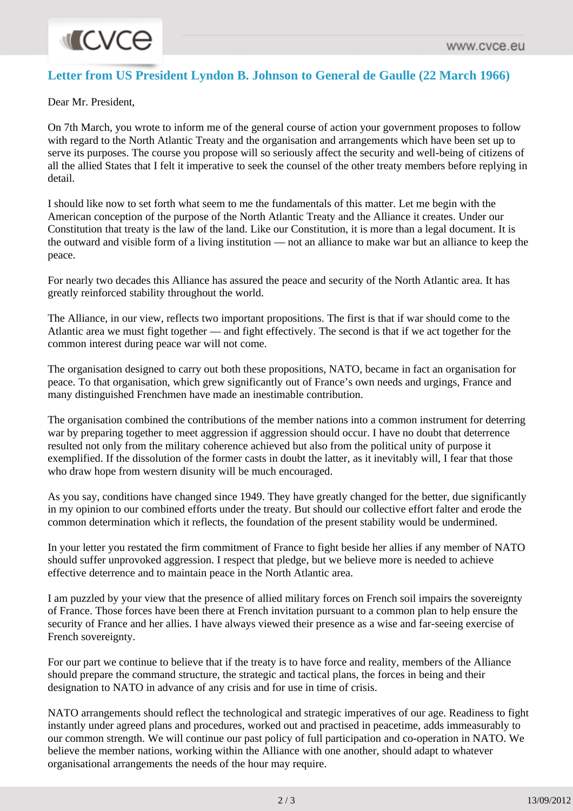## **Letter from US President Lyndon B. Johnson to General de Gaulle (22 March 1966)**

Dear Mr. President,

On 7th March, you wrote to inform me of the general course of action your government proposes to follow with regard to the North Atlantic Treaty and the organisation and arrangements which have been set up to serve its purposes. The course you propose will so seriously affect the security and well-being of citizens of all the allied States that I felt it imperative to seek the counsel of the other treaty members before replying in detail.

I should like now to set forth what seem to me the fundamentals of this matter. Let me begin with the American conception of the purpose of the North Atlantic Treaty and the Alliance it creates. Under our Constitution that treaty is the law of the land. Like our Constitution, it is more than a legal document. It is the outward and visible form of a living institution — not an alliance to make war but an alliance to keep the peace.

For nearly two decades this Alliance has assured the peace and security of the North Atlantic area. It has greatly reinforced stability throughout the world.

The Alliance, in our view, reflects two important propositions. The first is that if war should come to the Atlantic area we must fight together — and fight effectively. The second is that if we act together for the common interest during peace war will not come.

The organisation designed to carry out both these propositions, NATO, became in fact an organisation for peace. To that organisation, which grew significantly out of France's own needs and urgings, France and many distinguished Frenchmen have made an inestimable contribution.

The organisation combined the contributions of the member nations into a common instrument for deterring war by preparing together to meet aggression if aggression should occur. I have no doubt that deterrence resulted not only from the military coherence achieved but also from the political unity of purpose it exemplified. If the dissolution of the former casts in doubt the latter, as it inevitably will, I fear that those who draw hope from western disunity will be much encouraged.

As you say, conditions have changed since 1949. They have greatly changed for the better, due significantly in my opinion to our combined efforts under the treaty. But should our collective effort falter and erode the common determination which it reflects, the foundation of the present stability would be undermined.

In your letter you restated the firm commitment of France to fight beside her allies if any member of NATO should suffer unprovoked aggression. I respect that pledge, but we believe more is needed to achieve effective deterrence and to maintain peace in the North Atlantic area.

I am puzzled by your view that the presence of allied military forces on French soil impairs the sovereignty of France. Those forces have been there at French invitation pursuant to a common plan to help ensure the security of France and her allies. I have always viewed their presence as a wise and far-seeing exercise of French sovereignty.

For our part we continue to believe that if the treaty is to have force and reality, members of the Alliance should prepare the command structure, the strategic and tactical plans, the forces in being and their designation to NATO in advance of any crisis and for use in time of crisis.

NATO arrangements should reflect the technological and strategic imperatives of our age. Readiness to fight instantly under agreed plans and procedures, worked out and practised in peacetime, adds immeasurably to our common strength. We will continue our past policy of full participation and co-operation in NATO. We believe the member nations, working within the Alliance with one another, should adapt to whatever organisational arrangements the needs of the hour may require.